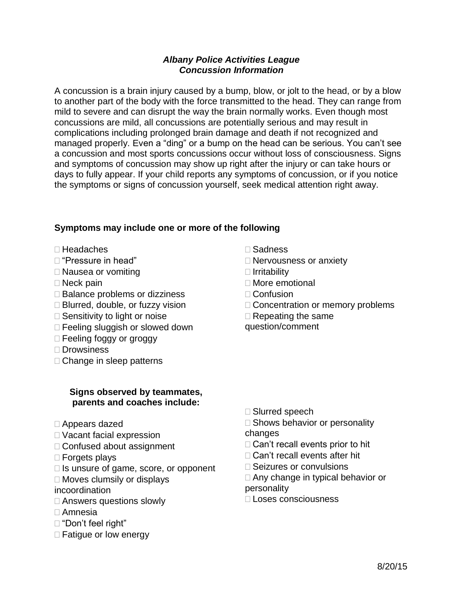## *Albany Police Activities League Concussion Information*

A concussion is a brain injury caused by a bump, blow, or jolt to the head, or by a blow to another part of the body with the force transmitted to the head. They can range from mild to severe and can disrupt the way the brain normally works. Even though most concussions are mild, all concussions are potentially serious and may result in complications including prolonged brain damage and death if not recognized and managed properly. Even a "ding" or a bump on the head can be serious. You can't see a concussion and most sports concussions occur without loss of consciousness. Signs and symptoms of concussion may show up right after the injury or can take hours or days to fully appear. If your child reports any symptoms of concussion, or if you notice the symptoms or signs of concussion yourself, seek medical attention right away.

# **Symptoms may include one or more of the following**

- Headaches
- "Pressure in head"
- □ Nausea or vomiting
- □ Neck pain
- $\square$  Balance problems or dizziness
- □ Blurred, double, or fuzzy vision
- $\square$  Sensitivity to light or noise
- □ Feeling sluggish or slowed down
- □ Feeling foggy or groggy
- □ Drowsiness
- □ Change in sleep patterns

## **Signs observed by teammates, parents and coaches include:**

- Appears dazed
- □ Vacant facial expression
- □ Confused about assignment
- □ Forgets plays
- $\Box$  Is unsure of game, score, or opponent
- $\Box$  Moves clumsily or displays
- incoordination
- □ Answers questions slowly
- Amnesia
- "Don't feel right"
- $\Box$  Fatigue or low energy
- Sadness
- □ Nervousness or anxiety
- $\Box$  Irritability
- □ More emotional
- $\Box$  Confusion
- □ Concentration or memory problems
- $\Box$  Repeating the same
- question/comment

- □ Slurred speech
- $\square$  Shows behavior or personality changes
- $\Box$  Can't recall events prior to hit
- □ Can't recall events after hit
- □ Seizures or convulsions
- □ Any change in typical behavior or

personality

Loses consciousness